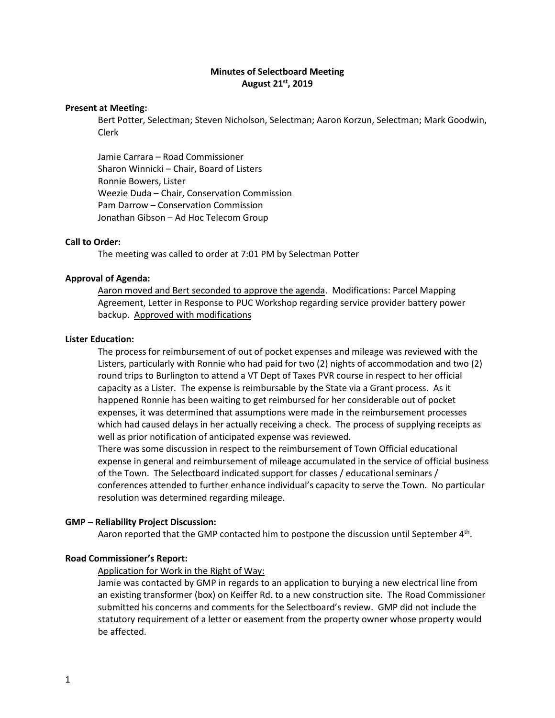# **Minutes of Selectboard Meeting August 21st, 2019**

#### **Present at Meeting:**

Bert Potter, Selectman; Steven Nicholson, Selectman; Aaron Korzun, Selectman; Mark Goodwin, Clerk

Jamie Carrara – Road Commissioner Sharon Winnicki – Chair, Board of Listers Ronnie Bowers, Lister Weezie Duda – Chair, Conservation Commission Pam Darrow – Conservation Commission Jonathan Gibson – Ad Hoc Telecom Group

#### **Call to Order:**

The meeting was called to order at 7:01 PM by Selectman Potter

### **Approval of Agenda:**

Aaron moved and Bert seconded to approve the agenda. Modifications: Parcel Mapping Agreement, Letter in Response to PUC Workshop regarding service provider battery power backup. Approved with modifications

#### **Lister Education:**

The process for reimbursement of out of pocket expenses and mileage was reviewed with the Listers, particularly with Ronnie who had paid for two (2) nights of accommodation and two (2) round trips to Burlington to attend a VT Dept of Taxes PVR course in respect to her official capacity as a Lister. The expense is reimbursable by the State via a Grant process. As it happened Ronnie has been waiting to get reimbursed for her considerable out of pocket expenses, it was determined that assumptions were made in the reimbursement processes which had caused delays in her actually receiving a check. The process of supplying receipts as well as prior notification of anticipated expense was reviewed.

There was some discussion in respect to the reimbursement of Town Official educational expense in general and reimbursement of mileage accumulated in the service of official business of the Town. The Selectboard indicated support for classes / educational seminars / conferences attended to further enhance individual's capacity to serve the Town. No particular resolution was determined regarding mileage.

#### **GMP – Reliability Project Discussion:**

Aaron reported that the GMP contacted him to postpone the discussion until September 4<sup>th</sup>.

### **Road Commissioner's Report:**

#### Application for Work in the Right of Way:

Jamie was contacted by GMP in regards to an application to burying a new electrical line from an existing transformer (box) on Keiffer Rd. to a new construction site. The Road Commissioner submitted his concerns and comments for the Selectboard's review. GMP did not include the statutory requirement of a letter or easement from the property owner whose property would be affected.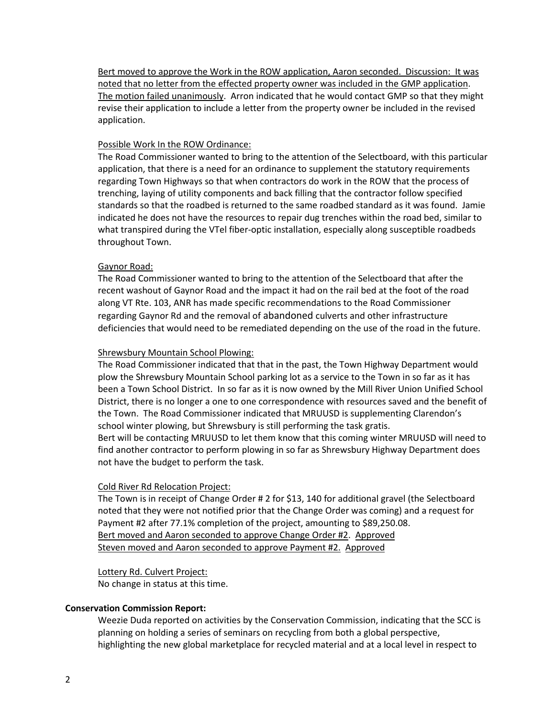Bert moved to approve the Work in the ROW application, Aaron seconded. Discussion: It was noted that no letter from the effected property owner was included in the GMP application. The motion failed unanimously. Arron indicated that he would contact GMP so that they might revise their application to include a letter from the property owner be included in the revised application.

# Possible Work In the ROW Ordinance:

The Road Commissioner wanted to bring to the attention of the Selectboard, with this particular application, that there is a need for an ordinance to supplement the statutory requirements regarding Town Highways so that when contractors do work in the ROW that the process of trenching, laying of utility components and back filling that the contractor follow specified standards so that the roadbed is returned to the same roadbed standard as it was found. Jamie indicated he does not have the resources to repair dug trenches within the road bed, similar to what transpired during the VTel fiber-optic installation, especially along susceptible roadbeds throughout Town.

# Gaynor Road:

The Road Commissioner wanted to bring to the attention of the Selectboard that after the recent washout of Gaynor Road and the impact it had on the rail bed at the foot of the road along VT Rte. 103, ANR has made specific recommendations to the Road Commissioner regarding Gaynor Rd and the removal of abandoned culverts and other infrastructure deficiencies that would need to be remediated depending on the use of the road in the future.

# Shrewsbury Mountain School Plowing:

The Road Commissioner indicated that that in the past, the Town Highway Department would plow the Shrewsbury Mountain School parking lot as a service to the Town in so far as it has been a Town School District. In so far as it is now owned by the Mill River Union Unified School District, there is no longer a one to one correspondence with resources saved and the benefit of the Town. The Road Commissioner indicated that MRUUSD is supplementing Clarendon's school winter plowing, but Shrewsbury is still performing the task gratis. Bert will be contacting MRUUSD to let them know that this coming winter MRUUSD will need to find another contractor to perform plowing in so far as Shrewsbury Highway Department does

### Cold River Rd Relocation Project:

not have the budget to perform the task.

The Town is in receipt of Change Order # 2 for \$13, 140 for additional gravel (the Selectboard noted that they were not notified prior that the Change Order was coming) and a request for Payment #2 after 77.1% completion of the project, amounting to \$89,250.08. Bert moved and Aaron seconded to approve Change Order #2. Approved Steven moved and Aaron seconded to approve Payment #2. Approved

### Lottery Rd. Culvert Project:

No change in status at this time.

### **Conservation Commission Report:**

Weezie Duda reported on activities by the Conservation Commission, indicating that the SCC is planning on holding a series of seminars on recycling from both a global perspective, highlighting the new global marketplace for recycled material and at a local level in respect to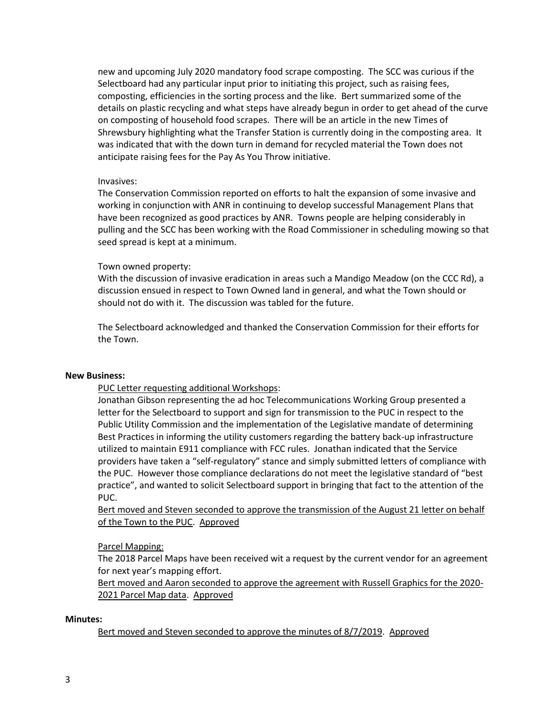new and upcoming July 2020 mandatory food scrape composting. The SCC was curious if the Selectboard had any particular input prior to initiating this project, such as raising fees, composting, efficiencies in the sorting process and the like. Bert summarized some of the details on plastic recycling and what steps have already begun in order to get ahead of the curve on composting of household food scrapes. There will be an article in the new Times of Shrewsbury highlighting what the Transfer Station is currently doing in the composting area. It was indicated that with the down turn in demand for recycled material the Town does not anticipate raising fees for the Pay As You Throw initiative.

# Invasives:

The Conservation Commission reported on efforts to halt the expansion of some invasive and working in conjunction with ANR in continuing to develop successful Management Plans that have been recognized as good practices by ANR. Towns people are helping considerably in pulling and the SCC has been working with the Road Commissioner in scheduling mowing so that seed spread is kept at a minimum.

# Town owned property:

With the discussion of invasive eradication in areas such a Mandigo Meadow (on the CCC Rd), a discussion ensued in respect to Town Owned land in general, and what the Town should or should not do with it. The discussion was tabled for the future.

The Selectboard acknowledged and thanked the Conservation Commission for their efforts for the Town.

### **New Business:**

PUC Letter requesting additional Workshops:

Jonathan Gibson representing the ad hoc Telecommunications Working Group presented a letter for the Selectboard to support and sign for transmission to the PUC in respect to the Public Utility Commission and the implementation of the Legislative mandate of determining Best Practices in informing the utility customers regarding the battery back-up infrastructure utilized to maintain E911 compliance with FCC rules. Jonathan indicated that the Service providers have taken a "self-regulatory" stance and simply submitted letters of compliance with the PUC. However those compliance declarations do not meet the legislative standard of "best practice", and wanted to solicit Selectboard support in bringing that fact to the attention of the PUC.

Bert moved and Steven seconded to approve the transmission of the August 21 letter on behalf of the Town to the PUC. Approved

# Parcel Mapping:

The 2018 Parcel Maps have been received wit a request by the current vendor for an agreement for next year's mapping effort.

Bert moved and Aaron seconded to approve the agreement with Russell Graphics for the 2020- 2021 Parcel Map data. Approved

### **Minutes:**

Bert moved and Steven seconded to approve the minutes of 8/7/2019. Approved